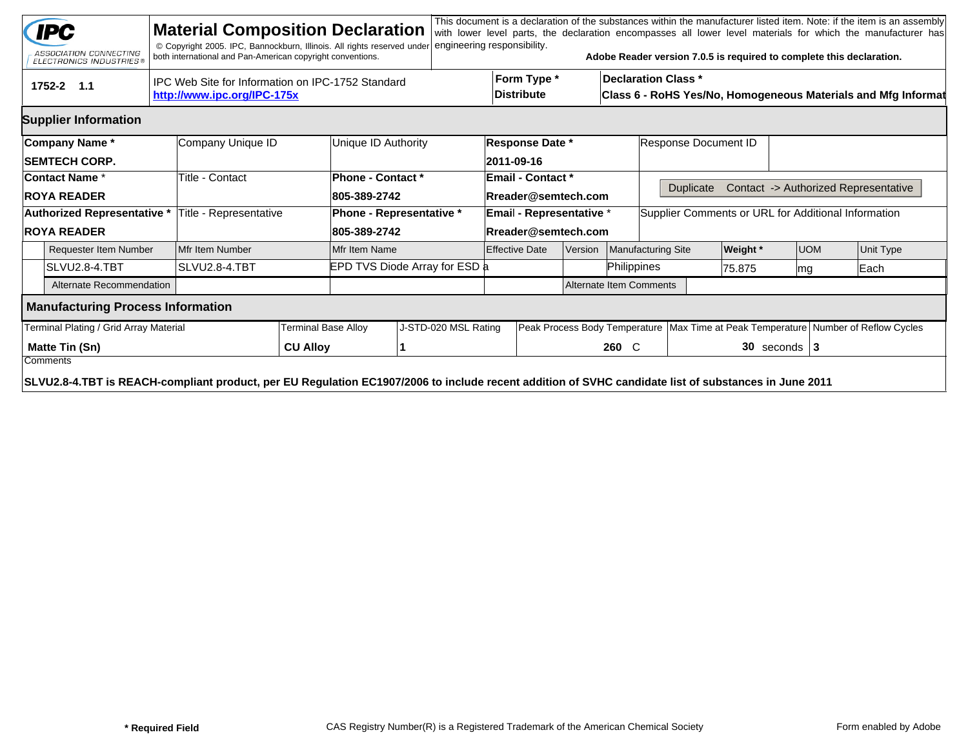|                                   | <b>IPC</b><br>ASSOCIATION CONNECTING<br><b>ELECTRONICS INDUSTRIES®</b>                                                                               |                                                   | <b>Material Composition Declaration</b><br>© Copyright 2005. IPC, Bannockburn, Illinois. All rights reserved under<br>both international and Pan-American copyright conventions. |                 |                          | engineering responsibility.      |                                                                                             |                          |                         |                                                     | Adobe Reader version 7.0.5 is required to complete this declaration.                   |                       |  |           | This document is a declaration of the substances within the manufacturer listed item. Note: if the item is an assembly<br>with lower level parts, the declaration encompasses all lower level materials for which the manufacturer has |  |
|-----------------------------------|------------------------------------------------------------------------------------------------------------------------------------------------------|---------------------------------------------------|----------------------------------------------------------------------------------------------------------------------------------------------------------------------------------|-----------------|--------------------------|----------------------------------|---------------------------------------------------------------------------------------------|--------------------------|-------------------------|-----------------------------------------------------|----------------------------------------------------------------------------------------|-----------------------|--|-----------|----------------------------------------------------------------------------------------------------------------------------------------------------------------------------------------------------------------------------------------|--|
|                                   | 1752-2 1.1                                                                                                                                           | IPC Web Site for Information on IPC-1752 Standard | Form Type *<br><b>Distribute</b>                                                                                                                                                 |                 |                          |                                  | <b>Declaration Class *</b><br>Class 6 - RoHS Yes/No, Homogeneous Materials and Mfg Informat |                          |                         |                                                     |                                                                                        |                       |  |           |                                                                                                                                                                                                                                        |  |
|                                   | <b>Supplier Information</b>                                                                                                                          |                                                   |                                                                                                                                                                                  |                 |                          |                                  |                                                                                             |                          |                         |                                                     |                                                                                        |                       |  |           |                                                                                                                                                                                                                                        |  |
|                                   | Company Name *                                                                                                                                       |                                                   | Company Unique ID                                                                                                                                                                |                 | Unique ID Authority      | <b>Response Date *</b>           |                                                                                             |                          |                         | Response Document ID                                |                                                                                        |                       |  |           |                                                                                                                                                                                                                                        |  |
|                                   | <b>SEMTECH CORP.</b>                                                                                                                                 |                                                   |                                                                                                                                                                                  |                 |                          |                                  |                                                                                             | 2011-09-16               |                         |                                                     |                                                                                        |                       |  |           |                                                                                                                                                                                                                                        |  |
|                                   | Contact Name*                                                                                                                                        |                                                   | Title - Contact                                                                                                                                                                  |                 | Phone - Contact *        |                                  |                                                                                             | <b>Email - Contact *</b> |                         |                                                     |                                                                                        |                       |  |           |                                                                                                                                                                                                                                        |  |
| <b>ROYA READER</b>                |                                                                                                                                                      |                                                   |                                                                                                                                                                                  |                 | 805-389-2742             |                                  |                                                                                             | Rreader@semtech.com      |                         |                                                     | Contact -> Authorized Representative<br><b>Duplicate</b>                               |                       |  |           |                                                                                                                                                                                                                                        |  |
| Authorized Representative *       |                                                                                                                                                      |                                                   | Title - Representative                                                                                                                                                           |                 | Phone - Representative * | <b>Email - Representative *</b>  |                                                                                             |                          |                         | Supplier Comments or URL for Additional Information |                                                                                        |                       |  |           |                                                                                                                                                                                                                                        |  |
| <b>ROYA READER</b>                |                                                                                                                                                      |                                                   |                                                                                                                                                                                  |                 | 805-389-2742             | Rreader@semtech.com              |                                                                                             |                          |                         |                                                     |                                                                                        |                       |  |           |                                                                                                                                                                                                                                        |  |
| <b>Requester Item Number</b>      |                                                                                                                                                      |                                                   | Mfr Item Number                                                                                                                                                                  |                 | Mfr Item Name            | <b>Effective Date</b><br>Version |                                                                                             |                          |                         | Manufacturing Site                                  | Weight *                                                                               | UOM                   |  | Unit Type |                                                                                                                                                                                                                                        |  |
|                                   | SLVU2.8-4.TBT                                                                                                                                        |                                                   |                                                                                                                                                                                  | SLVU2.8-4.TBT   |                          | EPD TVS Diode Array for ESD a    |                                                                                             |                          |                         |                                                     |                                                                                        | Philippines<br>75.875 |  |           | Each                                                                                                                                                                                                                                   |  |
|                                   | Alternate Recommendation                                                                                                                             |                                                   |                                                                                                                                                                                  |                 |                          |                                  |                                                                                             |                          | Alternate Item Comments |                                                     |                                                                                        |                       |  |           |                                                                                                                                                                                                                                        |  |
|                                   | <b>Manufacturing Process Information</b>                                                                                                             |                                                   |                                                                                                                                                                                  |                 |                          |                                  |                                                                                             |                          |                         |                                                     |                                                                                        |                       |  |           |                                                                                                                                                                                                                                        |  |
|                                   | Terminal Plating / Grid Array Material                                                                                                               |                                                   | <b>Ferminal Base Alloy</b>                                                                                                                                                       |                 | J-STD-020 MSL Rating     |                                  |                                                                                             |                          |                         |                                                     | Peak Process Body Temperature   Max Time at Peak Temperature   Number of Reflow Cycles |                       |  |           |                                                                                                                                                                                                                                        |  |
| <b>Matte Tin (Sn)</b><br>Comments |                                                                                                                                                      |                                                   |                                                                                                                                                                                  | <b>CU Alloy</b> |                          |                                  |                                                                                             |                          |                         | 260 C                                               |                                                                                        | $30$ seconds $3$      |  |           |                                                                                                                                                                                                                                        |  |
|                                   | SLVU2.8-4.TBT is REACH-compliant product, per EU Regulation EC1907/2006 to include recent addition of SVHC candidate list of substances in June 2011 |                                                   |                                                                                                                                                                                  |                 |                          |                                  |                                                                                             |                          |                         |                                                     |                                                                                        |                       |  |           |                                                                                                                                                                                                                                        |  |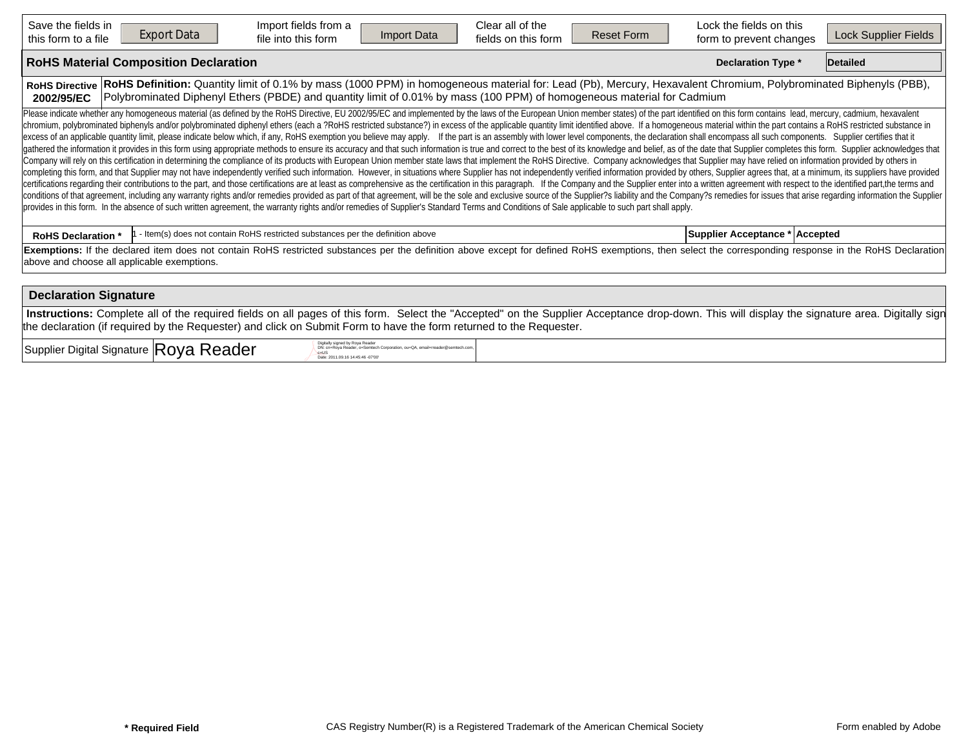| Save the fields in<br>this form to a file                                                                                                                                                                                                                                                                                          | <b>Export Data</b>                                                                                                                                                                                                                                                                                                                                                                                                                                                                                                                                                                                                                                                                                                                                                                                                                                                                                                                                                                                                                                                                                                                                                                                                                                                                                                                                                                                                                                                                                                                                                                                                                                                                                                                                                                                                                                                                                                                                                                                                                                                          | Import fields from a<br>file into this form                                    | Import Data | Clear all of the<br>fields on this form | <b>Reset Form</b> | Lock the fields on this<br>form to prevent changes                                                                                                                                            | Lock Supplier Fields |  |  |  |  |  |  |
|------------------------------------------------------------------------------------------------------------------------------------------------------------------------------------------------------------------------------------------------------------------------------------------------------------------------------------|-----------------------------------------------------------------------------------------------------------------------------------------------------------------------------------------------------------------------------------------------------------------------------------------------------------------------------------------------------------------------------------------------------------------------------------------------------------------------------------------------------------------------------------------------------------------------------------------------------------------------------------------------------------------------------------------------------------------------------------------------------------------------------------------------------------------------------------------------------------------------------------------------------------------------------------------------------------------------------------------------------------------------------------------------------------------------------------------------------------------------------------------------------------------------------------------------------------------------------------------------------------------------------------------------------------------------------------------------------------------------------------------------------------------------------------------------------------------------------------------------------------------------------------------------------------------------------------------------------------------------------------------------------------------------------------------------------------------------------------------------------------------------------------------------------------------------------------------------------------------------------------------------------------------------------------------------------------------------------------------------------------------------------------------------------------------------------|--------------------------------------------------------------------------------|-------------|-----------------------------------------|-------------------|-----------------------------------------------------------------------------------------------------------------------------------------------------------------------------------------------|----------------------|--|--|--|--|--|--|
| <b>RoHS Material Composition Declaration</b><br><b>Declaration Type *</b><br><b>Detailed</b>                                                                                                                                                                                                                                       |                                                                                                                                                                                                                                                                                                                                                                                                                                                                                                                                                                                                                                                                                                                                                                                                                                                                                                                                                                                                                                                                                                                                                                                                                                                                                                                                                                                                                                                                                                                                                                                                                                                                                                                                                                                                                                                                                                                                                                                                                                                                             |                                                                                |             |                                         |                   |                                                                                                                                                                                               |                      |  |  |  |  |  |  |
| RoHS Definition: Quantity limit of 0.1% by mass (1000 PPM) in homogeneous material for: Lead (Pb), Mercury, Hexavalent Chromium, Polybrominated Biphenyls (PBB),<br><b>RoHS Directive</b><br>Polybrominated Diphenyl Ethers (PBDE) and quantity limit of 0.01% by mass (100 PPM) of homogeneous material for Cadmium<br>2002/95/EC |                                                                                                                                                                                                                                                                                                                                                                                                                                                                                                                                                                                                                                                                                                                                                                                                                                                                                                                                                                                                                                                                                                                                                                                                                                                                                                                                                                                                                                                                                                                                                                                                                                                                                                                                                                                                                                                                                                                                                                                                                                                                             |                                                                                |             |                                         |                   |                                                                                                                                                                                               |                      |  |  |  |  |  |  |
|                                                                                                                                                                                                                                                                                                                                    | Please indicate whether any homogeneous material (as defined by the RoHS Directive, EU 2002/95/EC and implemented by the laws of the European Union member states) of the part identified on this form contains lead, mercury,<br>chromium, polybrominated biphenyls and/or polybrominated diphenyl ethers (each a ?RoHS restricted substance?) in excess of the applicable quantity limit identified above. If a homogeneous material within the part contains<br>excess of an applicable quantity limit, please indicate below which, if any, RoHS exemption you believe may apply. If the part is an assembly with lower level components, the declaration shall encompass all such components<br>gathered the information it provides in this form using appropriate methods to ensure its accuracy and that such information is true and correct to the best of its knowledge and belief, as of the date that Supplier complet<br>Company will rely on this certification in determining the compliance of its products with European Union member state laws that implement the RoHS Directive. Company acknowledges that Supplier may have relied on informati<br>completing this form, and that Supplier may not have independently verified such information. However, in situations where Supplier has not independently verified information provided by others, Supplier agrees that, at a<br>certifications regarding their contributions to the part, and those certifications are at least as comprehensive as the certification in this paragraph. If the Company and the Supplier enter into a written agreement with r<br>conditions of that agreement, including any warranty rights and/or remedies provided as part of that agreement, will be the sole and exclusive source of the Supplier?s liability and the Company?s remedies for issues that a<br>provides in this form. In the absence of such written agreement, the warranty rights and/or remedies of Supplier's Standard Terms and Conditions of Sale applicable to such part shall apply. |                                                                                |             |                                         |                   |                                                                                                                                                                                               |                      |  |  |  |  |  |  |
| <b>RoHS Declaration *</b>                                                                                                                                                                                                                                                                                                          |                                                                                                                                                                                                                                                                                                                                                                                                                                                                                                                                                                                                                                                                                                                                                                                                                                                                                                                                                                                                                                                                                                                                                                                                                                                                                                                                                                                                                                                                                                                                                                                                                                                                                                                                                                                                                                                                                                                                                                                                                                                                             | - Item(s) does not contain RoHS restricted substances per the definition above |             |                                         |                   | Supplier Acceptance * Accepted                                                                                                                                                                |                      |  |  |  |  |  |  |
| Exemptions: If the declared item does not contain RoHS restricted substances per the definition above except for defined RoHS exemptions, then select the corresponding response in the RoHS Declaration<br>above and choose all applicable exemptions.                                                                            |                                                                                                                                                                                                                                                                                                                                                                                                                                                                                                                                                                                                                                                                                                                                                                                                                                                                                                                                                                                                                                                                                                                                                                                                                                                                                                                                                                                                                                                                                                                                                                                                                                                                                                                                                                                                                                                                                                                                                                                                                                                                             |                                                                                |             |                                         |                   |                                                                                                                                                                                               |                      |  |  |  |  |  |  |
| <b>Declaration Signature</b>                                                                                                                                                                                                                                                                                                       |                                                                                                                                                                                                                                                                                                                                                                                                                                                                                                                                                                                                                                                                                                                                                                                                                                                                                                                                                                                                                                                                                                                                                                                                                                                                                                                                                                                                                                                                                                                                                                                                                                                                                                                                                                                                                                                                                                                                                                                                                                                                             |                                                                                |             |                                         |                   |                                                                                                                                                                                               |                      |  |  |  |  |  |  |
|                                                                                                                                                                                                                                                                                                                                    | the declaration (if required by the Requester) and click on Submit Form to have the form returned to the Requester.                                                                                                                                                                                                                                                                                                                                                                                                                                                                                                                                                                                                                                                                                                                                                                                                                                                                                                                                                                                                                                                                                                                                                                                                                                                                                                                                                                                                                                                                                                                                                                                                                                                                                                                                                                                                                                                                                                                                                         |                                                                                |             |                                         |                   | Instructions: Complete all of the required fields on all pages of this form. Select the "Accepted" on the Supplier Acceptance drop-down. This will display the signature area. Digitally sign |                      |  |  |  |  |  |  |

 $\sup_{\mathcal{P}_{\text{cyls}}^{\text{Cyls}} \text{DPSR}}$   $\mathsf{Roya\,Reader}^{\text{Dyls}}$ 

DN: cn=Roya Reader, o=Semtech Corporation, ou=QA, email=rreader@semtech.com,<br>c=US<br>Date: 2011.09.16 14:45:46 -07'00'